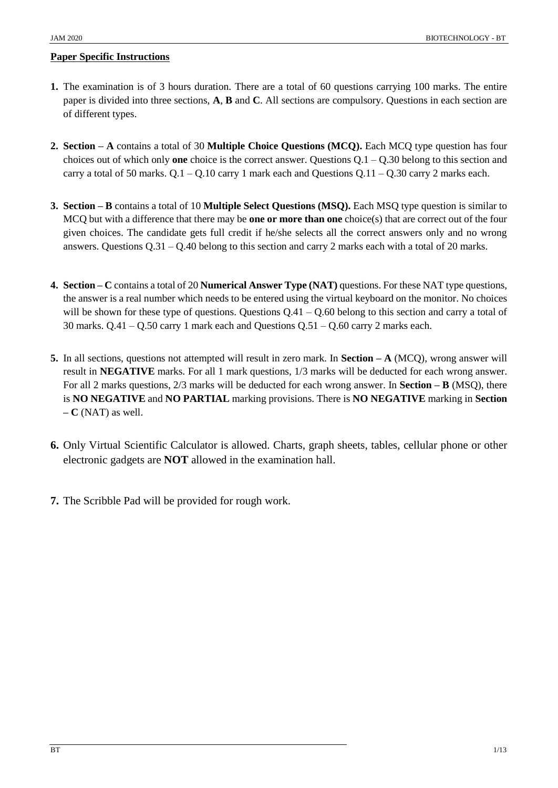#### **Paper Specific Instructions**

- **1.** The examination is of 3 hours duration. There are a total of 60 questions carrying 100 marks. The entire paper is divided into three sections, **A**, **B** and **C**. All sections are compulsory. Questions in each section are of different types.
- **2. Section – A** contains a total of 30 **Multiple Choice Questions (MCQ).** Each MCQ type question has four choices out of which only **one** choice is the correct answer. Questions Q.1 – Q.30 belong to this section and carry a total of 50 marks.  $Q.1 - Q.10$  carry 1 mark each and Questions  $Q.11 - Q.30$  carry 2 marks each.
- **3. Section – B** contains a total of 10 **Multiple Select Questions (MSQ).** Each MSQ type question is similar to MCQ but with a difference that there may be **one or more than one** choice(s) that are correct out of the four given choices. The candidate gets full credit if he/she selects all the correct answers only and no wrong answers. Questions  $Q.31 - Q.40$  belong to this section and carry 2 marks each with a total of 20 marks.
- **4. Section – C** contains a total of 20 **Numerical Answer Type (NAT)** questions. For these NAT type questions, the answer is a real number which needs to be entered using the virtual keyboard on the monitor. No choices will be shown for these type of questions. Questions  $Q.41 - Q.60$  belong to this section and carry a total of 30 marks.  $Q.41 - Q.50$  carry 1 mark each and Questions  $Q.51 - Q.60$  carry 2 marks each.
- **5.** In all sections, questions not attempted will result in zero mark. In **Section – A** (MCQ), wrong answer will result in **NEGATIVE** marks. For all 1 mark questions, 1/3 marks will be deducted for each wrong answer. For all 2 marks questions, 2/3 marks will be deducted for each wrong answer. In **Section – B** (MSQ), there is **NO NEGATIVE** and **NO PARTIAL** marking provisions. There is **NO NEGATIVE** marking in **Section – C** (NAT) as well.
- **6.** Only Virtual Scientific Calculator is allowed. Charts, graph sheets, tables, cellular phone or other electronic gadgets are **NOT** allowed in the examination hall.
- **7.** The Scribble Pad will be provided for rough work.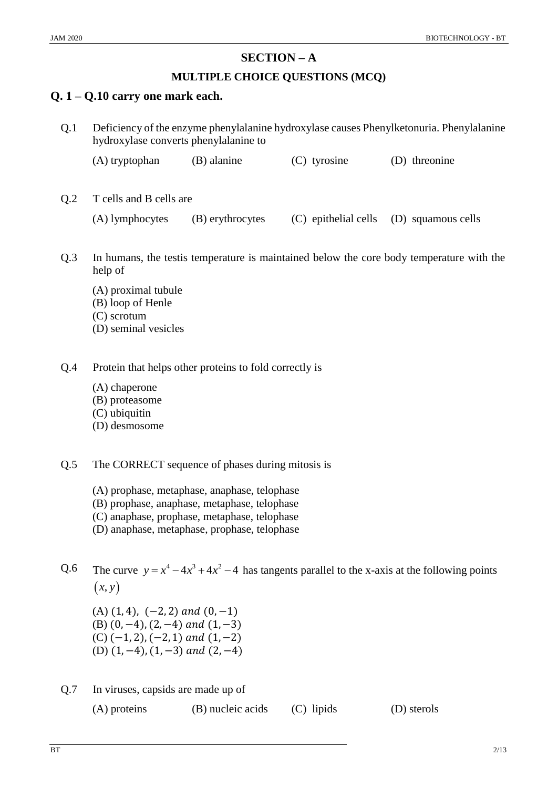#### JAM 2020 BIOTECHNOLOGY - BT

## **SECTION – A**

## **MULTIPLE CHOICE QUESTIONS (MCQ)**

## **Q. 1 – Q.10 carry one mark each.**

| Q.1             | Deficiency of the enzyme phenylalanine hydroxylase causes Phenylketonuria. Phenylalanine<br>hydroxylase converts phenylalanine to |                  |                      |                    |  |
|-----------------|-----------------------------------------------------------------------------------------------------------------------------------|------------------|----------------------|--------------------|--|
|                 | (A) tryptophan                                                                                                                    | (B) alanine      | $(C)$ tyrosine       | threonine<br>(D)   |  |
| Q <sub>.2</sub> | T cells and B cells are                                                                                                           |                  |                      |                    |  |
|                 | (A) lymphocytes                                                                                                                   | (B) erythrocytes | (C) epithelial cells | (D) squamous cells |  |
| Q.3             | In humans, the test is temperature is maintained below the core body temperature with the<br>help of                              |                  |                      |                    |  |
|                 | (A) proximal tubule<br>(B) loop of Henle<br>(C) scrotum                                                                           |                  |                      |                    |  |

- (D) seminal vesicles
- Q.4 Protein that helps other proteins to fold correctly is
	- (A) chaperone
	- (B) proteasome
	- (C) ubiquitin
	- (D) desmosome
- Q.5 The CORRECT sequence of phases during mitosis is
	- (A) prophase, metaphase, anaphase, telophase
	- (B) prophase, anaphase, metaphase, telophase
	- (C) anaphase, prophase, metaphase, telophase
	- (D) anaphase, metaphase, prophase, telophase

Q.6 The curve  $y = x^4 - 4x^3 + 4x^2 - 4$  has tangents parallel to the x-axis at the following points  $(x, y)$ 

 $(A)$   $(1, 4)$ ,  $(-2, 2)$  and  $(0, -1)$ (B)  $(0, -4)$ ,  $(2, -4)$  and  $(1, -3)$  $(C)$  (-1, 2), (-2, 1) and (1, -2) (D)  $(1, -4)$ ,  $(1, -3)$  and  $(2, -4)$ 

Q.7 In viruses, capsids are made up of

(A) proteins (B) nucleic acids (C) lipids (D) sterols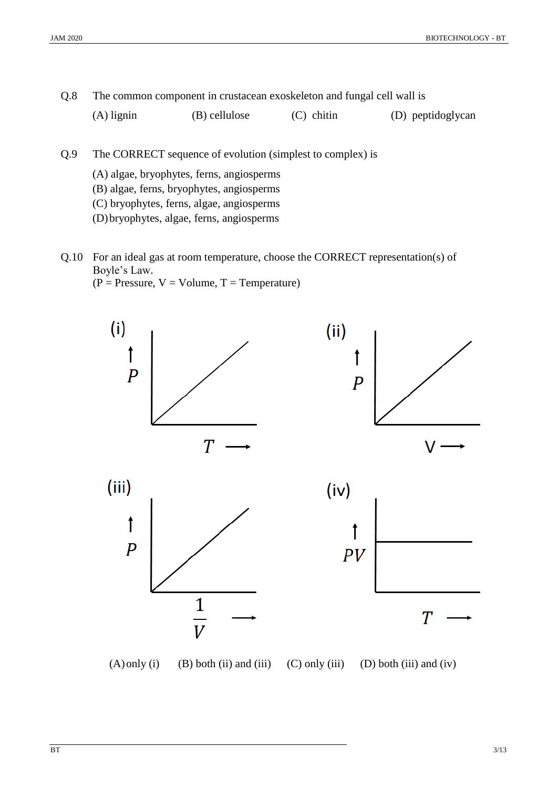Q.8 The common component in crustacean exoskeleton and fungal cell wall is

(A) lignin (B) cellulose (C) chitin (D) peptidoglycan

- Q.9 The CORRECT sequence of evolution (simplest to complex) is
	- (A) algae, bryophytes, ferns, angiosperms
	- (B) algae, ferns, bryophytes, angiosperms
	- (C) bryophytes, ferns, algae, angiosperms
	- (D)bryophytes, algae, ferns, angiosperms
- Q.10 For an ideal gas at room temperature, choose the CORRECT representation(s) of Boyle's Law.  $(P = \text{Pressure}, V = \text{Volume}, T = \text{Temperature})$

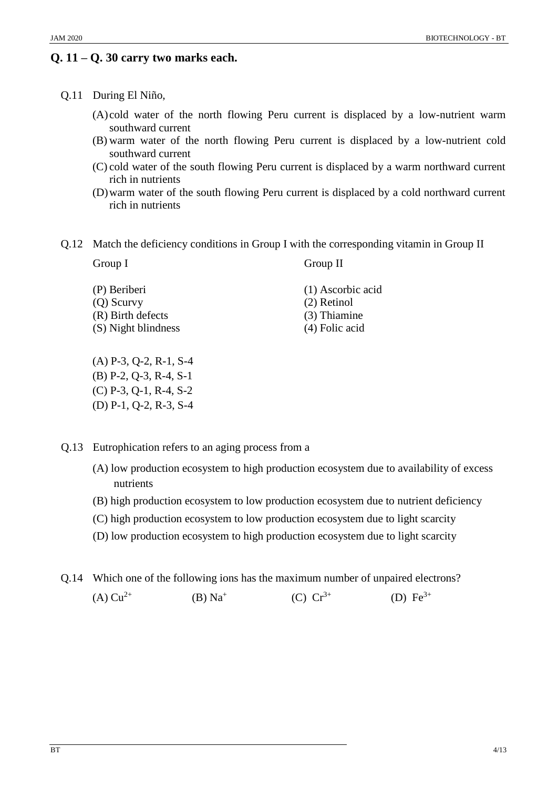# **Q. 11 – Q. 30 carry two marks each.**

- (A) cold water of the north flowing Peru current is displaced by a low-nutrient warm southward current
- (B) warm water of the north flowing Peru current is displaced by a low-nutrient cold southward current
- (C) cold water of the south flowing Peru current is displaced by a warm northward current rich in nutrients
- (D)warm water of the south flowing Peru current is displaced by a cold northward current rich in nutrients
- Q.12 Match the deficiency conditions in Group I with the corresponding vitamin in Group II

| Group I             | Group II          |  |
|---------------------|-------------------|--|
| (P) Beriberi        | (1) Ascorbic acid |  |
| $(Q)$ Scurvy        | $(2)$ Retinol     |  |
| (R) Birth defects   | (3) Thiamine      |  |
| (S) Night blindness | $(4)$ Folic acid  |  |

(A) P-3, Q-2, R-1, S-4 (B) P-2, Q-3, R-4, S-1 (C) P-3, Q-1, R-4, S-2 (D) P-1, Q-2, R-3, S-4

Q.13 Eutrophication refers to an aging process from a

- (A) low production ecosystem to high production ecosystem due to availability of excess nutrients
- (B) high production ecosystem to low production ecosystem due to nutrient deficiency
- (C) high production ecosystem to low production ecosystem due to light scarcity
- (D) low production ecosystem to high production ecosystem due to light scarcity

Q.14 Which one of the following ions has the maximum number of unpaired electrons?

(A)  $Cu^{2+}$  (B)  $Na^{+}$ (C)  $Cr^{3+}$  (D)  $Fe^{3+}$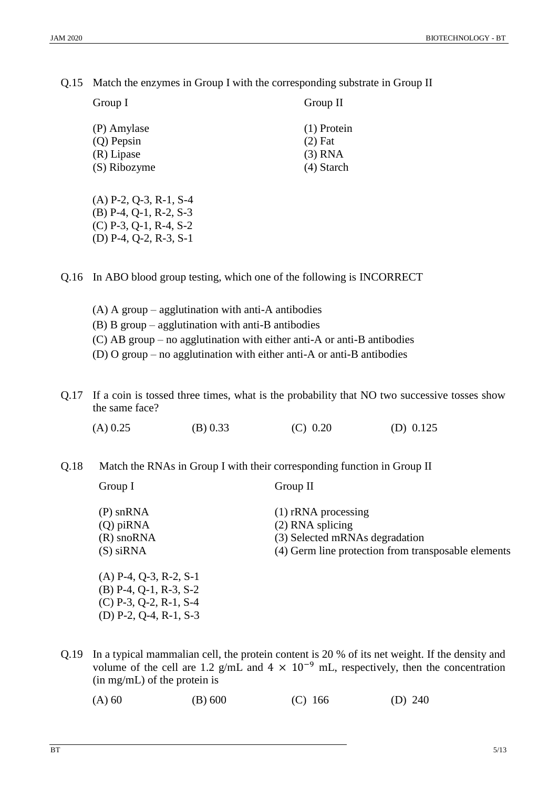Q.15 Match the enzymes in Group I with the corresponding substrate in Group II

Group II

| гонн |  |
|------|--|
|      |  |

| (P) Amylase  | $(1)$ Protein |
|--------------|---------------|
| $(Q)$ Pepsin | $(2)$ Fat     |
| (R) Lipase   | $(3)$ RNA     |
| (S) Ribozyme | $(4)$ Starch  |
|              |               |

(A) P-2, Q-3, R-1, S-4 (B) P-4, Q-1, R-2, S-3 (C) P-3, Q-1, R-4, S-2 (D) P-4, Q-2, R-3, S-1

Q.16 In ABO blood group testing, which one of the following is INCORRECT

- (A) A group agglutination with anti-A antibodies
- (B) B group agglutination with anti-B antibodies
- (C) AB group no agglutination with either anti-A or anti-B antibodies
- (D) O group no agglutination with either anti-A or anti-B antibodies
- Q.17 If a coin is tossed three times, what is the probability that NO two successive tosses show the same face?

(A) 0.25 (B) 0.33 (C) 0.20 (D) 0.125

Q.18 Match the RNAs in Group I with their corresponding function in Group II

| Group I                           | Group II                                            |
|-----------------------------------|-----------------------------------------------------|
| $(P)$ snRNA<br>$(Q)$ pi $RNA$     | $(1)$ rRNA processing<br>$(2)$ RNA splicing         |
| $(R)$ sno $RNA$                   | (3) Selected mRNAs degradation                      |
| $(S)$ siRNA                       | (4) Germ line protection from transposable elements |
| $(A)$ P-4, Q-3, R-2, S-1          |                                                     |
| $(B)$ P-4, Q-1, R-3, S-2          |                                                     |
| $(C)$ P-3, Q-2, R-1, S-4          |                                                     |
| (D) $P-2$ , $Q-4$ , $R-1$ , $S-3$ |                                                     |

Q.19 In a typical mammalian cell, the protein content is 20 % of its net weight. If the density and volume of the cell are 1.2 g/mL and  $4 \times 10^{-9}$  mL, respectively, then the concentration (in mg/mL) of the protein is

(A) 60 (B) 600 (C) 166 (D) 240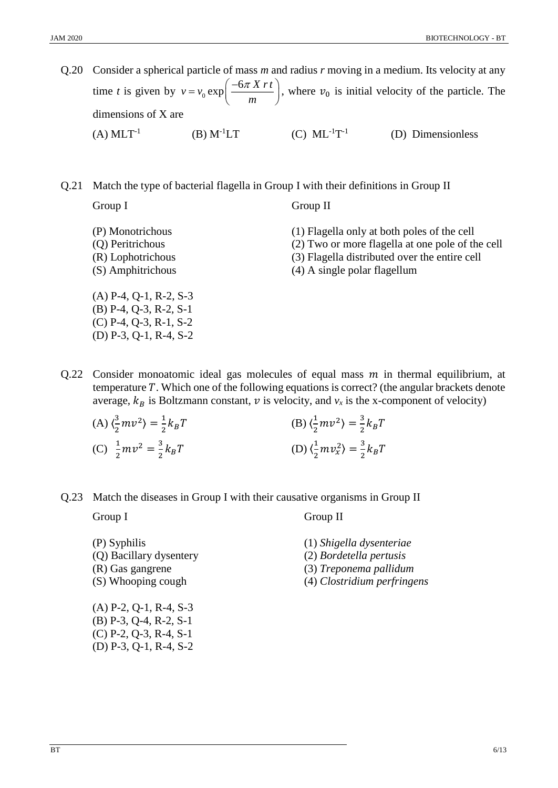- Q.20 Consider a spherical particle of mass *m* and radius *r* moving in a medium. Its velocity at any time *t* is given by  $v = v_0$  $v = v_0 \exp\left(\frac{-6\pi X r t}{m}\right)$  $\left(-6\pi X r t\right)$  $= v_0 \exp\left(\frac{-\frac{\partial u}{\partial x} M t}{m}\right)$ , where  $v_0$  is initial velocity of the particle. The dimensions of X are  $(A)$  MLT<sup>-1</sup> (B)  $M^{-1}LT$  (C)  $ML^{-1}T^{-1}$ (D) Dimensionless
- Q.21 Match the type of bacterial flagella in Group I with their definitions in Group II

Group I

Group II

- (P) Monotrichous (Q) Peritrichous (R) Lophotrichous (S) Amphitrichous (1) Flagella only at both poles of the cell (2) Two or more flagella at one pole of the cell (3) Flagella distributed over the entire cell (4) A single polar flagellum (A) P-4, Q-1, R-2, S-3 (B) P-4, Q-3, R-2, S-1 (C) P-4, Q-3, R-1, S-2
- Q.22 Consider monoatomic ideal gas molecules of equal mass  $m$  in thermal equilibrium, at temperature  $T$ . Which one of the following equations is correct? (the angular brackets denote average,  $k_B$  is Boltzmann constant,  $v$  is velocity, and  $v_x$  is the x-component of velocity)

| (A) $\langle \frac{3}{2}mv^2 \rangle = \frac{1}{2}k_BT$ | (B) $\langle \frac{1}{2}mv^2 \rangle = \frac{3}{2}k_BT$   |
|---------------------------------------------------------|-----------------------------------------------------------|
| (C) $\frac{1}{2}mv^2 = \frac{3}{2}k_BT$                 | (D) $\langle \frac{1}{2}mv_x^2 \rangle = \frac{3}{2}k_BT$ |

Q.23 Match the diseases in Group I with their causative organisms in Group II

Group I

Group II

(P) Syphilis (Q) Bacillary dysentery (R) Gas gangrene (S) Whooping cough

(2) *Bordetella pertusis* (3) *Treponema pallidum*

(4) *Clostridium perfringens*

(1) *Shigella dysenteriae*

(A) P-2, Q-1, R-4, S-3 (B) P-3, Q-4, R-2, S-1 (C) P-2, Q-3, R-4, S-1 (D) P-3, Q-1, R-4, S-2

(D) P-3, Q-1, R-4, S-2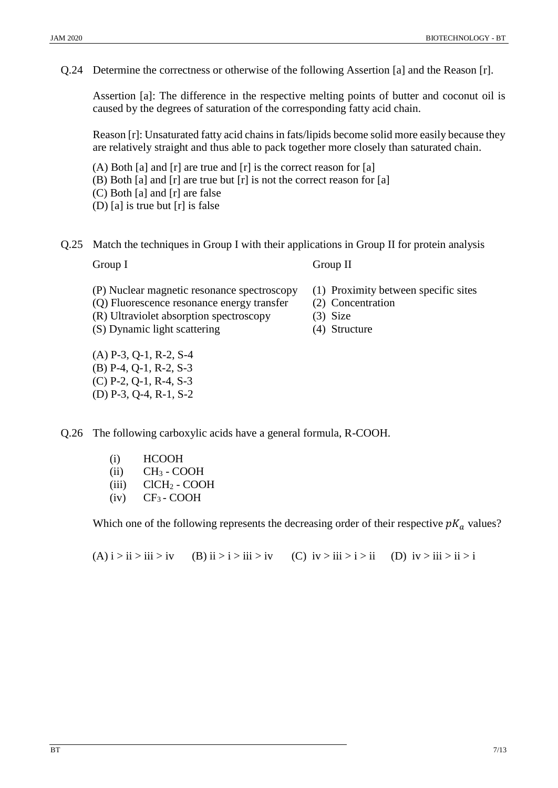Q.24 Determine the correctness or otherwise of the following Assertion [a] and the Reason [r].

Assertion [a]: The difference in the respective melting points of butter and coconut oil is caused by the degrees of saturation of the corresponding fatty acid chain.

Reason [r]: Unsaturated fatty acid chains in fats/lipids become solid more easily because they are relatively straight and thus able to pack together more closely than saturated chain.

- (A) Both [a] and [r] are true and [r] is the correct reason for [a] (B) Both [a] and [r] are true but [r] is not the correct reason for [a] (C) Both [a] and [r] are false (D) [a] is true but [r] is false
- Q.25 Match the techniques in Group I with their applications in Group II for protein analysis Group I

Group II

(3) Size (4) Structure

(2) Concentration

(1) Proximity between specific sites

- (P) Nuclear magnetic resonance spectroscopy
- (Q) Fluorescence resonance energy transfer
- (R) Ultraviolet absorption spectroscopy
- (S) Dynamic light scattering
- (A) P-3, Q-1, R-2, S-4 (B) P-4, Q-1, R-2, S-3 (C) P-2, Q-1, R-4, S-3 (D) P-3, Q-4, R-1, S-2
- Q.26 The following carboxylic acids have a general formula, R-COOH.
	- (i) HCOOH
	- $(ii)$  CH<sub>3</sub> COOH
	- $(iii)$  ClCH<sub>2</sub> COOH
	- $(iv)$  CF<sub>3</sub> COOH

Which one of the following represents the decreasing order of their respective  $pK_a$  values?

 $(A)$  i > ii > iii > iv (B) ii > i > iii > iv (C) iv > iii > i > ii (D) iv > iii > ii > i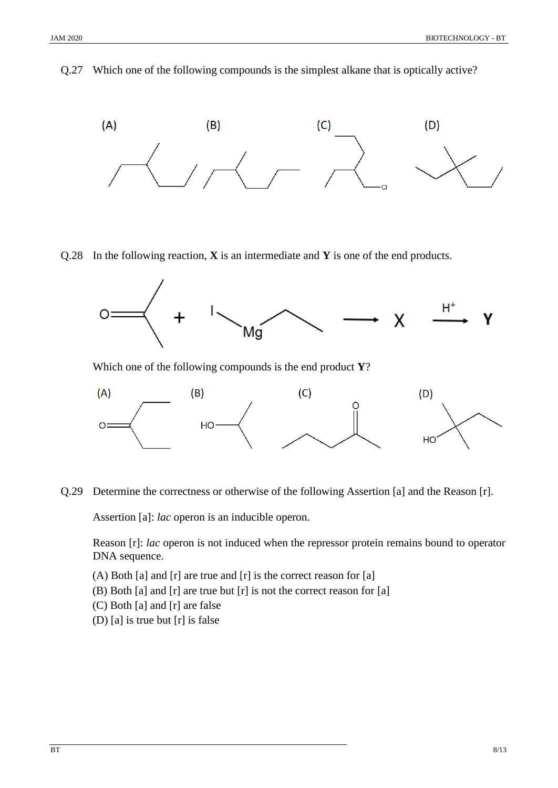Q.27 Which one of the following compounds is the simplest alkane that is optically active?



Q.28 In the following reaction, **X** is an intermediate and **Y** is one of the end products.



Which one of the following compounds is the end product **Y**?



Q.29 Determine the correctness or otherwise of the following Assertion [a] and the Reason [r].

Assertion [a]: *lac* operon is an inducible operon.

Reason [r]: *lac* operon is not induced when the repressor protein remains bound to operator DNA sequence.

- (A) Both [a] and [r] are true and [r] is the correct reason for [a]
- (B) Both [a] and [r] are true but [r] is not the correct reason for [a]
- (C) Both [a] and [r] are false
- (D) [a] is true but [r] is false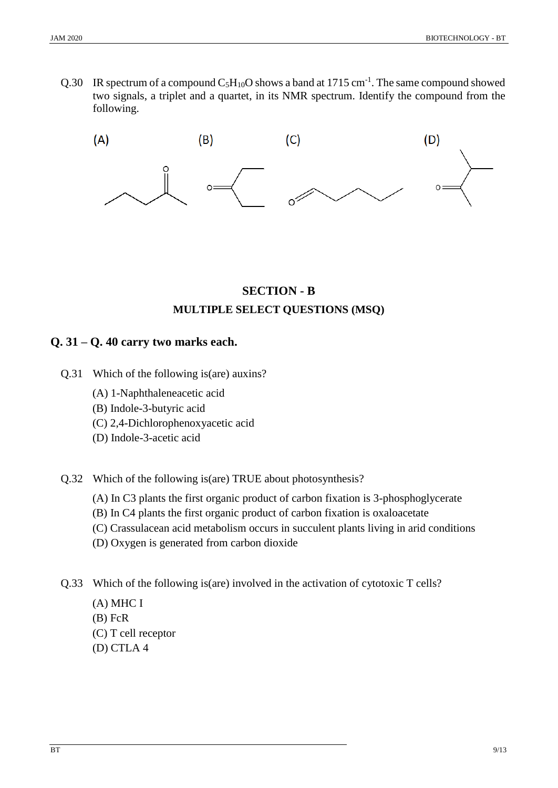Q.30 IR spectrum of a compound  $C_5H_{10}O$  shows a band at 1715 cm<sup>-1</sup>. The same compound showed two signals, a triplet and a quartet, in its NMR spectrum. Identify the compound from the following.



## **SECTION - B MULTIPLE SELECT QUESTIONS (MSQ)**

## **Q. 31 – Q. 40 carry two marks each.**

- Q.31 Which of the following is(are) auxins?
	- (A) 1-Naphthaleneacetic acid
	- (B) Indole-3-butyric acid
	- (C) 2,4-Dichlorophenoxyacetic acid
	- (D) Indole-3-acetic acid
- Q.32 Which of the following is(are) TRUE about photosynthesis?
	- (A) In C3 plants the first organic product of carbon fixation is 3-phosphoglycerate
	- (B) In C4 plants the first organic product of carbon fixation is oxaloacetate
	- (C) Crassulacean acid metabolism occurs in succulent plants living in arid conditions
	- (D) Oxygen is generated from carbon dioxide
- Q.33 Which of the following is(are) involved in the activation of cytotoxic T cells?
	- (A) MHC I
	- (B) FcR
	- (C) T cell receptor
	- (D) CTLA 4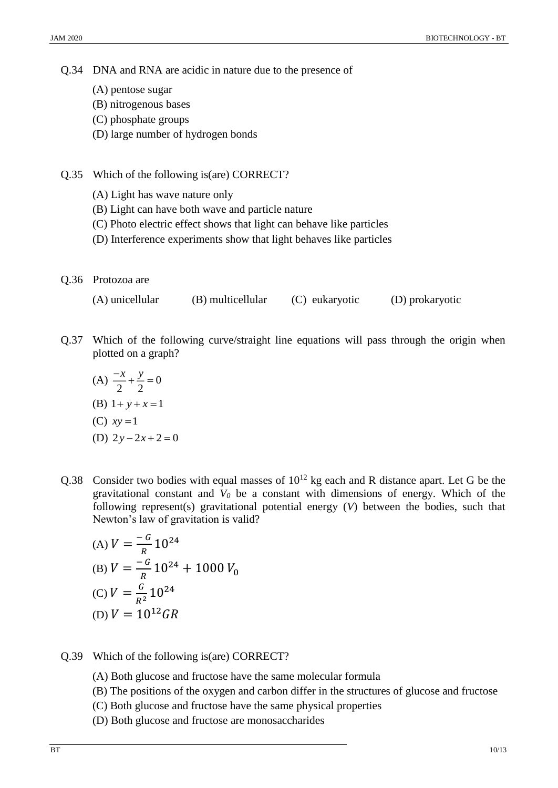Q.34 DNA and RNA are acidic in nature due to the presence of

- (A) pentose sugar
- (B) nitrogenous bases
- (C) phosphate groups
- (D) large number of hydrogen bonds
- Q.35 Which of the following is(are) CORRECT?
	- (A) Light has wave nature only
	- (B) Light can have both wave and particle nature
	- (C) Photo electric effect shows that light can behave like particles
	- (D) Interference experiments show that light behaves like particles
- Q.36 Protozoa are

(A) unicellular (B) multicellular (C) eukaryotic (D) prokaryotic

- Q.37 Which of the following curve/straight line equations will pass through the origin when plotted on a graph?
	- $(A) \frac{x}{2} + \frac{y}{2} = 0$ 2 2  $\frac{-x}{-} + \frac{y}{-} =$ (B)  $1 + y + x = 1$ (C)  $xy = 1$ (D)  $2y - 2x + 2 = 0$
- Q.38 Consider two bodies with equal masses of  $10^{12}$  kg each and R distance apart. Let G be the gravitational constant and *V<sup>0</sup>* be a constant with dimensions of energy. Which of the following represent(s) gravitational potential energy (*V*) between the bodies, such that Newton's law of gravitation is valid?

(A) 
$$
V = \frac{-G}{R} 10^{24}
$$
  
\n(B)  $V = \frac{-G}{R} 10^{24} + 1000 V_0$   
\n(C)  $V = \frac{G}{R^2} 10^{24}$   
\n(D)  $V = 10^{12} GR$ 

- Q.39 Which of the following is(are) CORRECT?
	- (A) Both glucose and fructose have the same molecular formula
	- (B) The positions of the oxygen and carbon differ in the structures of glucose and fructose
	- (C) Both glucose and fructose have the same physical properties
	- (D) Both glucose and fructose are monosaccharides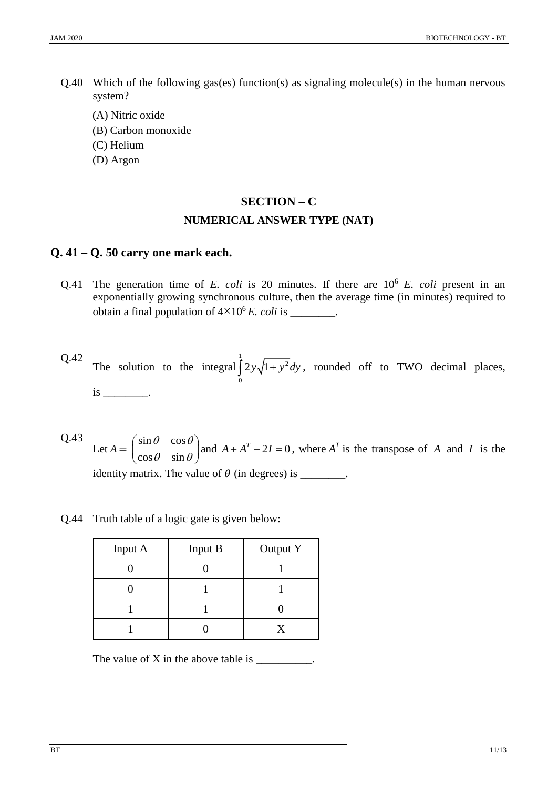- Q.40 Which of the following gas(es) function(s) as signaling molecule(s) in the human nervous system?
	- (A) Nitric oxide
	- (B) Carbon monoxide
	- (C) Helium
	- (D) Argon

## **SECTION – C NUMERICAL ANSWER TYPE (NAT)**

#### **Q. 41 – Q. 50 carry one mark each.**

- Q.41 The generation time of *E. coli* is 20 minutes. If there are  $10^6$  *E. coli* present in an exponentially growing synchronous culture, then the average time (in minutes) required to obtain a final population of  $4 \times 10^6$  *E. coli* is \_\_\_\_\_\_\_.
- Q.42 The solution to the integral 1 2  $\int_{0}^{2} 2y\sqrt{1+y^2}dy$ , rounded off to TWO decimal places,  $is \qquad$ .
- Q.43 Let  $A = \begin{bmatrix} \sin \theta & \cos \theta \\ \cos \theta & \sin \theta \end{bmatrix}$  $\cos \theta$  sin  $\theta \cos \theta$  $\begin{pmatrix} \sin\theta & \cos\theta \ \cos\theta & \sin\theta \end{pmatrix}$ and  $A + A^T - 2I = 0$ , where  $A^T$  is the transpose of A and I is the identity matrix. The value of (in degrees) is \_\_\_\_\_\_\_\_.
- Q.44 Truth table of a logic gate is given below:

| Input A | Input B | Output Y |  |
|---------|---------|----------|--|
|         |         |          |  |
|         |         |          |  |
|         |         |          |  |
|         |         |          |  |

The value of  $X$  in the above table is  $\frac{1}{\sqrt{2\pi}}$ .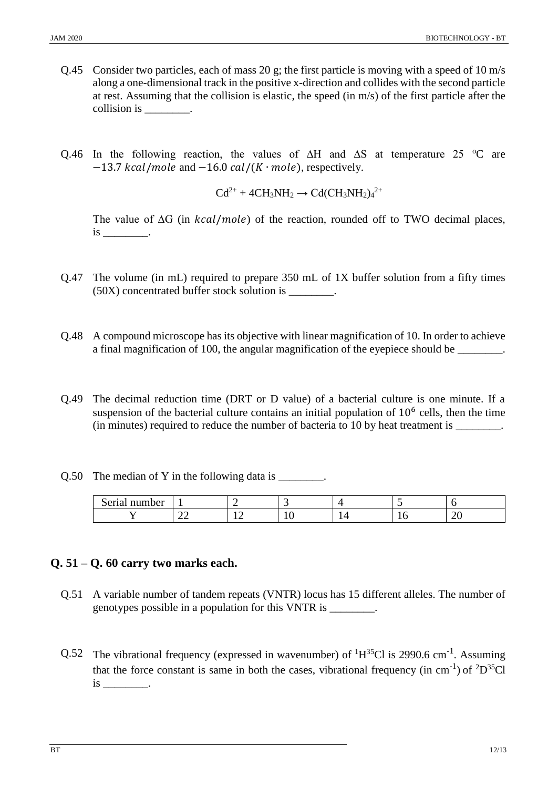- Q.45 Consider two particles, each of mass 20 g; the first particle is moving with a speed of 10 m/s along a one-dimensional track in the positive x-direction and collides with the second particle at rest. Assuming that the collision is elastic, the speed (in m/s) of the first particle after the collision is  $\qquad \qquad$ .
- Q.46 In the following reaction, the values of ∆H and ∆S at temperature 25  $\degree$ C are  $-13.7$  kcal/mole and  $-16.0$  cal/(K · mole), respectively.

$$
Cd^{2+} + 4CH_3NH_2 \rightarrow Cd(CH_3NH_2)a^{2+}
$$

The value of  $\Delta G$  (in *kcal/mole*) of the reaction, rounded off to TWO decimal places,  $is$   $\qquad$ .

- Q.47 The volume (in mL) required to prepare 350 mL of 1X buffer solution from a fifty times (50X) concentrated buffer stock solution is \_\_\_\_\_\_\_\_.
- Q.48 A compound microscope has its objective with linear magnification of 10. In order to achieve a final magnification of 100, the angular magnification of the eyepiece should be \_\_\_\_\_\_\_\_.
- Q.49 The decimal reduction time (DRT or D value) of a bacterial culture is one minute. If a suspension of the bacterial culture contains an initial population of  $10<sup>6</sup>$  cells, then the time (in minutes) required to reduce the number of bacteria to 10 by heat treatment is
- Q.50 The median of Y in the following data is \_\_\_\_\_\_\_\_.

| Serial<br>number |               |          |          |   |        |
|------------------|---------------|----------|----------|---|--------|
|                  | ^^<br>∼<br>__ | --<br>-- | <b>.</b> | ◡ | ⌒<br>້ |

### **Q. 51 – Q. 60 carry two marks each.**

- Q.51 A variable number of tandem repeats (VNTR) locus has 15 different alleles. The number of genotypes possible in a population for this VNTR is \_\_\_\_\_\_\_\_.
- Q.52 The vibrational frequency (expressed in wavenumber) of  ${}^{1}H^{35}Cl$  is 2990.6 cm<sup>-1</sup>. Assuming that the force constant is same in both the cases, vibrational frequency (in cm<sup>-1</sup>) of <sup>2</sup>D<sup>35</sup>Cl  $is$   $\qquad$